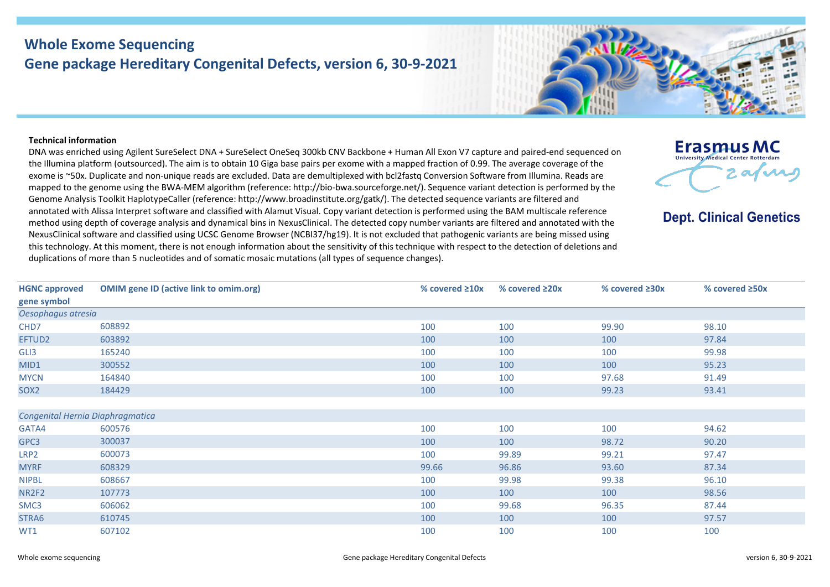## **Whole Exome Sequencing Gene package Hereditary Congenital Defects, version 6, 30-9-2021**

## **Technical information**

DNA was enriched using Agilent SureSelect DNA + SureSelect OneSeq 300kb CNV Backbone + Human All Exon V7 capture and paired-end sequenced on the Illumina platform (outsourced). The aim is to obtain 10 Giga base pairs per exome with a mapped fraction of 0.99. The average coverage of the exome is ~50x. Duplicate and non-unique reads are excluded. Data are demultiplexed with bcl2fastq Conversion Software from Illumina. Reads are mapped to the genome using the BWA-MEM algorithm (reference: http://bio-bwa.sourceforge.net/). Sequence variant detection is performed by the Genome Analysis Toolkit HaplotypeCaller (reference: http://www.broadinstitute.org/gatk/). The detected sequence variants are filtered and annotated with Alissa Interpret software and classified with Alamut Visual. Copy variant detection is performed using the BAM multiscale reference method using depth of coverage analysis and dynamical bins in NexusClinical. The detected copy number variants are filtered and annotated with the NexusClinical software and classified using UCSC Genome Browser (NCBI37/hg19). It is not excluded that pathogenic variants are being missed using this technology. At this moment, there is not enough information about the sensitivity of this technique with respect to the detection of deletions and duplications of more than 5 nucleotides and of somatic mosaic mutations (all types of sequence changes).



**Dept. Clinical Genetics** 

| <b>HGNC approved</b>             | <b>OMIM gene ID (active link to omim.org)</b> | % covered $\geq 10x$ | % covered $\geq 20x$ | % covered $\geq 30x$ | % covered $\geq$ 50x |  |  |  |
|----------------------------------|-----------------------------------------------|----------------------|----------------------|----------------------|----------------------|--|--|--|
| gene symbol                      |                                               |                      |                      |                      |                      |  |  |  |
| Oesophagus atresia               |                                               |                      |                      |                      |                      |  |  |  |
| CHD7                             | 608892                                        | 100                  | 100                  | 99.90                | 98.10                |  |  |  |
| EFTUD2                           | 603892                                        | 100                  | 100                  | 100                  | 97.84                |  |  |  |
| GLI3                             | 165240                                        | 100                  | 100                  | 100                  | 99.98                |  |  |  |
| MID1                             | 300552                                        | 100                  | 100                  | 100                  | 95.23                |  |  |  |
| <b>MYCN</b>                      | 164840                                        | 100                  | 100                  | 97.68                | 91.49                |  |  |  |
| SOX <sub>2</sub>                 | 184429                                        | 100                  | 100                  | 99.23                | 93.41                |  |  |  |
|                                  |                                               |                      |                      |                      |                      |  |  |  |
| Congenital Hernia Diaphragmatica |                                               |                      |                      |                      |                      |  |  |  |
| GATA4                            | 600576                                        | 100                  | 100                  | 100                  | 94.62                |  |  |  |
| GPC3                             | 300037                                        | 100                  | 100                  | 98.72                | 90.20                |  |  |  |
| LRP2                             | 600073                                        | 100                  | 99.89                | 99.21                | 97.47                |  |  |  |
| <b>MYRF</b>                      | 608329                                        | 99.66                | 96.86                | 93.60                | 87.34                |  |  |  |
| <b>NIPBL</b>                     | 608667                                        | 100                  | 99.98                | 99.38                | 96.10                |  |  |  |
| NR2F2                            | 107773                                        | 100                  | 100                  | 100                  | 98.56                |  |  |  |
| SMC3                             | 606062                                        | 100                  | 99.68                | 96.35                | 87.44                |  |  |  |
| STRA6                            | 610745                                        | 100                  | 100                  | 100                  | 97.57                |  |  |  |
| WT1                              | 607102                                        | 100                  | 100                  | 100                  | 100                  |  |  |  |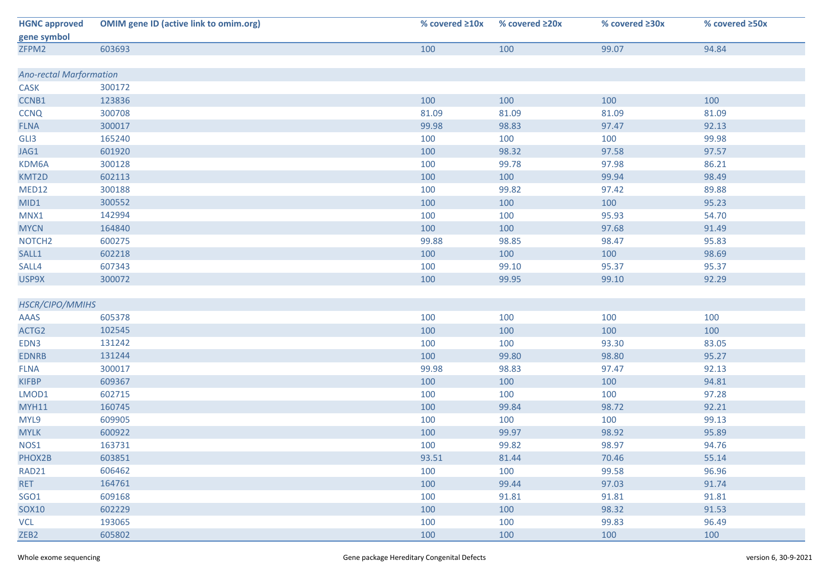| <b>HGNC approved</b>           | <b>OMIM gene ID (active link to omim.org)</b> | % covered $\geq 10x$ | % covered $\geq 20x$ | % covered ≥30x | % covered ≥50x |  |  |
|--------------------------------|-----------------------------------------------|----------------------|----------------------|----------------|----------------|--|--|
| gene symbol                    |                                               |                      |                      |                |                |  |  |
| ZFPM2                          | 603693                                        | 100                  | 100                  | 99.07          | 94.84          |  |  |
|                                |                                               |                      |                      |                |                |  |  |
| <b>Ano-rectal Marformation</b> |                                               |                      |                      |                |                |  |  |
| <b>CASK</b>                    | 300172                                        |                      |                      |                |                |  |  |
| CCNB1                          | 123836                                        | 100                  | 100                  | 100            | 100            |  |  |
| <b>CCNQ</b>                    | 300708                                        | 81.09                | 81.09                | 81.09          | 81.09          |  |  |
| <b>FLNA</b>                    | 300017                                        | 99.98                | 98.83                | 97.47          | 92.13          |  |  |
| GLI3                           | 165240                                        | 100                  | 100                  | 100            | 99.98          |  |  |
| JAG1                           | 601920                                        | 100                  | 98.32                | 97.58          | 97.57          |  |  |
| KDM6A                          | 300128                                        | 100                  | 99.78                | 97.98          | 86.21          |  |  |
| KMT2D                          | 602113                                        | 100                  | 100                  | 99.94          | 98.49          |  |  |
| MED12                          | 300188                                        | 100                  | 99.82                | 97.42          | 89.88          |  |  |
| MID1                           | 300552                                        | 100                  | 100                  | 100            | 95.23          |  |  |
| MNX1                           | 142994                                        | 100                  | 100                  | 95.93          | 54.70          |  |  |
| <b>MYCN</b>                    | 164840                                        | 100                  | 100                  | 97.68          | 91.49          |  |  |
| NOTCH <sub>2</sub>             | 600275                                        | 99.88                | 98.85                | 98.47          | 95.83          |  |  |
| SALL1                          | 602218                                        | 100                  | 100                  | 100            | 98.69          |  |  |
| SALL4                          | 607343                                        | 100                  | 99.10                | 95.37          | 95.37          |  |  |
| USP9X                          | 300072                                        | 100                  | 99.95                | 99.10          | 92.29          |  |  |
|                                |                                               |                      |                      |                |                |  |  |
| HSCR/CIPO/MMIHS                |                                               |                      |                      |                |                |  |  |
| AAAS                           | 605378                                        | 100                  | 100                  | 100            | 100            |  |  |
| ACTG2                          | 102545                                        | 100                  | 100                  | 100            | 100            |  |  |
| EDN3                           | 131242                                        | 100                  | 100                  | 93.30          | 83.05          |  |  |
| <b>EDNRB</b>                   | 131244                                        | 100                  | 99.80                | 98.80          | 95.27          |  |  |
| <b>FLNA</b>                    | 300017                                        | 99.98                | 98.83                | 97.47          | 92.13          |  |  |
| <b>KIFBP</b>                   | 609367                                        | 100                  | 100                  | 100            | 94.81          |  |  |
| LMOD1                          | 602715                                        | 100                  | 100                  | 100            | 97.28          |  |  |
| <b>MYH11</b>                   | 160745                                        | 100                  | 99.84                | 98.72          | 92.21          |  |  |
| MYL9                           | 609905                                        | 100                  | 100                  | 100            | 99.13          |  |  |
| <b>MYLK</b>                    | 600922                                        | 100                  | 99.97                | 98.92          | 95.89          |  |  |
| NOS1                           | 163731                                        | 100                  | 99.82                | 98.97          | 94.76          |  |  |
| PHOX2B                         | 603851                                        | 93.51                | 81.44                | 70.46          | 55.14          |  |  |
| RAD21                          | 606462                                        | 100                  | 100                  | 99.58          | 96.96          |  |  |
| RET                            | 164761                                        | 100                  | 99.44                | 97.03          | 91.74          |  |  |
| <b>SGO1</b>                    | 609168                                        | 100                  | 91.81                | 91.81          | 91.81          |  |  |
| SOX10                          | 602229                                        | 100                  | 100                  | 98.32          | 91.53          |  |  |
| <b>VCL</b>                     | 193065                                        | 100                  | 100                  | 99.83          | 96.49          |  |  |
| ZEB <sub>2</sub>               | 605802                                        | 100                  | 100                  | 100            | 100            |  |  |